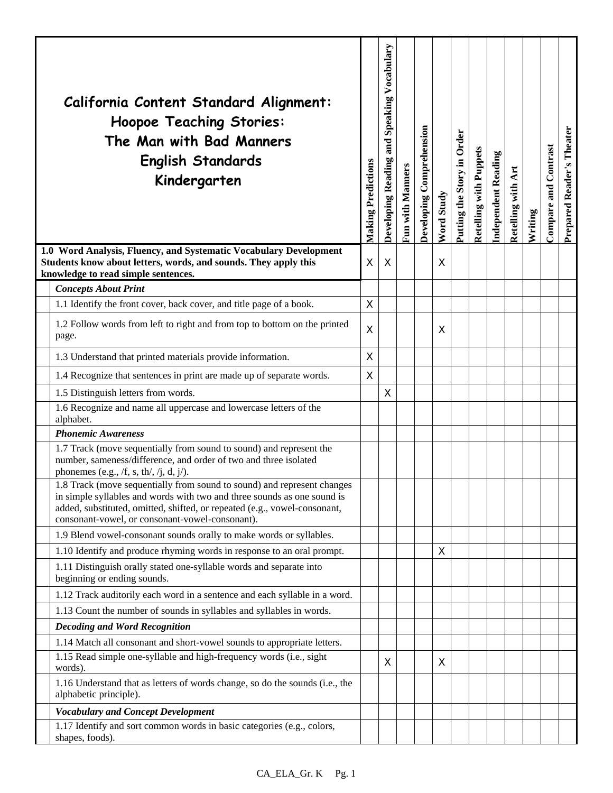| California Content Standard Alignment:<br><b>Hoopoe Teaching Stories:</b><br>The Man with Bad Manners<br><b>English Standards</b><br>Kindergarten                                                                                                                                  | <b>Making Predictions</b> | Developing Reading and Speaking Vocabulary | Fun with Manners | Developing Comprehension | Word Study | Putting the Story in Order | <b>Retelling with Puppets</b> | <b>Independent Reading</b> | Retelling with Art | Writing | Compare and Contrast | Prepared Reader's Theater |
|------------------------------------------------------------------------------------------------------------------------------------------------------------------------------------------------------------------------------------------------------------------------------------|---------------------------|--------------------------------------------|------------------|--------------------------|------------|----------------------------|-------------------------------|----------------------------|--------------------|---------|----------------------|---------------------------|
| 1.0 Word Analysis, Fluency, and Systematic Vocabulary Development<br>Students know about letters, words, and sounds. They apply this<br>knowledge to read simple sentences.                                                                                                        | X                         | X                                          |                  |                          | X          |                            |                               |                            |                    |         |                      |                           |
| <b>Concepts About Print</b>                                                                                                                                                                                                                                                        |                           |                                            |                  |                          |            |                            |                               |                            |                    |         |                      |                           |
| 1.1 Identify the front cover, back cover, and title page of a book.                                                                                                                                                                                                                | X                         |                                            |                  |                          |            |                            |                               |                            |                    |         |                      |                           |
| 1.2 Follow words from left to right and from top to bottom on the printed<br>page.                                                                                                                                                                                                 | $\overline{X}$            |                                            |                  |                          | X          |                            |                               |                            |                    |         |                      |                           |
| 1.3 Understand that printed materials provide information.                                                                                                                                                                                                                         | X                         |                                            |                  |                          |            |                            |                               |                            |                    |         |                      |                           |
| 1.4 Recognize that sentences in print are made up of separate words.                                                                                                                                                                                                               | X                         |                                            |                  |                          |            |                            |                               |                            |                    |         |                      |                           |
| 1.5 Distinguish letters from words.                                                                                                                                                                                                                                                |                           | X                                          |                  |                          |            |                            |                               |                            |                    |         |                      |                           |
| 1.6 Recognize and name all uppercase and lowercase letters of the<br>alphabet.                                                                                                                                                                                                     |                           |                                            |                  |                          |            |                            |                               |                            |                    |         |                      |                           |
| <b>Phonemic Awareness</b>                                                                                                                                                                                                                                                          |                           |                                            |                  |                          |            |                            |                               |                            |                    |         |                      |                           |
| 1.7 Track (move sequentially from sound to sound) and represent the<br>number, sameness/difference, and order of two and three isolated<br>phonemes (e.g., $/f$ , s, th $/$ , $/j$ , d, $j/$ ).                                                                                    |                           |                                            |                  |                          |            |                            |                               |                            |                    |         |                      |                           |
| 1.8 Track (move sequentially from sound to sound) and represent changes<br>in simple syllables and words with two and three sounds as one sound is<br>added, substituted, omitted, shifted, or repeated (e.g., vowel-consonant,<br>consonant-vowel, or consonant-vowel-consonant). |                           |                                            |                  |                          |            |                            |                               |                            |                    |         |                      |                           |
| 1.9 Blend vowel-consonant sounds orally to make words or syllables.                                                                                                                                                                                                                |                           |                                            |                  |                          |            |                            |                               |                            |                    |         |                      |                           |
| 1.10 Identify and produce rhyming words in response to an oral prompt.                                                                                                                                                                                                             |                           |                                            |                  |                          | X          |                            |                               |                            |                    |         |                      |                           |
| 1.11 Distinguish orally stated one-syllable words and separate into<br>beginning or ending sounds.                                                                                                                                                                                 |                           |                                            |                  |                          |            |                            |                               |                            |                    |         |                      |                           |
| 1.12 Track auditorily each word in a sentence and each syllable in a word.                                                                                                                                                                                                         |                           |                                            |                  |                          |            |                            |                               |                            |                    |         |                      |                           |
| 1.13 Count the number of sounds in syllables and syllables in words.                                                                                                                                                                                                               |                           |                                            |                  |                          |            |                            |                               |                            |                    |         |                      |                           |
| <b>Decoding and Word Recognition</b>                                                                                                                                                                                                                                               |                           |                                            |                  |                          |            |                            |                               |                            |                    |         |                      |                           |
| 1.14 Match all consonant and short-vowel sounds to appropriate letters.                                                                                                                                                                                                            |                           |                                            |                  |                          |            |                            |                               |                            |                    |         |                      |                           |
| 1.15 Read simple one-syllable and high-frequency words (i.e., sight<br>words).                                                                                                                                                                                                     |                           | X                                          |                  |                          | X          |                            |                               |                            |                    |         |                      |                           |
| 1.16 Understand that as letters of words change, so do the sounds (i.e., the<br>alphabetic principle).                                                                                                                                                                             |                           |                                            |                  |                          |            |                            |                               |                            |                    |         |                      |                           |
| <b>Vocabulary and Concept Development</b>                                                                                                                                                                                                                                          |                           |                                            |                  |                          |            |                            |                               |                            |                    |         |                      |                           |
| 1.17 Identify and sort common words in basic categories (e.g., colors,<br>shapes, foods).                                                                                                                                                                                          |                           |                                            |                  |                          |            |                            |                               |                            |                    |         |                      |                           |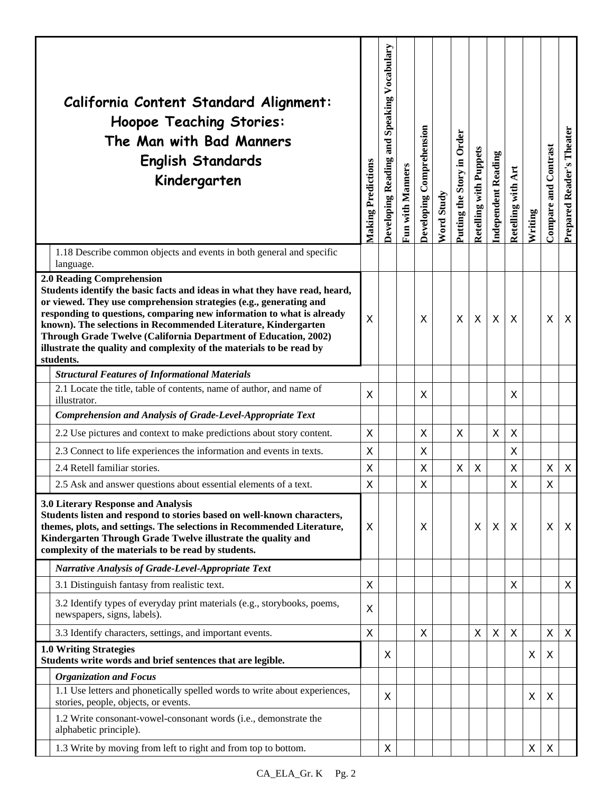|                                                                                                                                                                                                                                                                                                                      | California Content Standard Alignment:<br><b>Hoopoe Teaching Stories:</b><br>The Man with Bad Manners<br><b>English Standards</b><br>Kindergarten                                                                                                                                                                                                                                                                                                                                       | <b>Making Predictions</b> | Developing Reading and Speaking Vocabulary | Fun with Manners | Developing Comprehension | Word Study | Putting the Story in Order | <b>Retelling with Puppets</b> | Independent Reading | Retelling with Art | Writing | Compare and Contrast | Prepared Reader's Theater |
|----------------------------------------------------------------------------------------------------------------------------------------------------------------------------------------------------------------------------------------------------------------------------------------------------------------------|-----------------------------------------------------------------------------------------------------------------------------------------------------------------------------------------------------------------------------------------------------------------------------------------------------------------------------------------------------------------------------------------------------------------------------------------------------------------------------------------|---------------------------|--------------------------------------------|------------------|--------------------------|------------|----------------------------|-------------------------------|---------------------|--------------------|---------|----------------------|---------------------------|
|                                                                                                                                                                                                                                                                                                                      | 1.18 Describe common objects and events in both general and specific<br>language.                                                                                                                                                                                                                                                                                                                                                                                                       |                           |                                            |                  |                          |            |                            |                               |                     |                    |         |                      |                           |
|                                                                                                                                                                                                                                                                                                                      | <b>2.0 Reading Comprehension</b><br>Students identify the basic facts and ideas in what they have read, heard,<br>or viewed. They use comprehension strategies (e.g., generating and<br>responding to questions, comparing new information to what is already<br>known). The selections in Recommended Literature, Kindergarten<br>Through Grade Twelve (California Department of Education, 2002)<br>illustrate the quality and complexity of the materials to be read by<br>students. | $\mathsf{X}$              |                                            |                  | X                        |            | X                          | X                             | $\sf X$             | X                  |         | X                    | X                         |
|                                                                                                                                                                                                                                                                                                                      | <b>Structural Features of Informational Materials</b>                                                                                                                                                                                                                                                                                                                                                                                                                                   |                           |                                            |                  |                          |            |                            |                               |                     |                    |         |                      |                           |
|                                                                                                                                                                                                                                                                                                                      | 2.1 Locate the title, table of contents, name of author, and name of<br>illustrator.                                                                                                                                                                                                                                                                                                                                                                                                    | $\sf X$                   |                                            |                  | X                        |            |                            |                               |                     | X                  |         |                      |                           |
|                                                                                                                                                                                                                                                                                                                      | Comprehension and Analysis of Grade-Level-Appropriate Text                                                                                                                                                                                                                                                                                                                                                                                                                              |                           |                                            |                  |                          |            |                            |                               |                     |                    |         |                      |                           |
|                                                                                                                                                                                                                                                                                                                      | 2.2 Use pictures and context to make predictions about story content.                                                                                                                                                                                                                                                                                                                                                                                                                   | X                         |                                            |                  | X                        |            | X                          |                               | X                   | X                  |         |                      |                           |
|                                                                                                                                                                                                                                                                                                                      | 2.3 Connect to life experiences the information and events in texts.                                                                                                                                                                                                                                                                                                                                                                                                                    | X                         |                                            |                  | X                        |            |                            |                               |                     | X                  |         |                      |                           |
|                                                                                                                                                                                                                                                                                                                      | 2.4 Retell familiar stories.                                                                                                                                                                                                                                                                                                                                                                                                                                                            | X                         |                                            |                  | X                        |            | X                          | X                             |                     | X                  |         | X                    | X                         |
|                                                                                                                                                                                                                                                                                                                      | 2.5 Ask and answer questions about essential elements of a text.                                                                                                                                                                                                                                                                                                                                                                                                                        | X                         |                                            |                  | X                        |            |                            |                               |                     | $\pmb{\times}$     |         | X                    |                           |
| <b>3.0 Literary Response and Analysis</b><br>Students listen and respond to stories based on well-known characters,<br>themes, plots, and settings. The selections in Recommended Literature,<br>Kindergarten Through Grade Twelve illustrate the quality and<br>complexity of the materials to be read by students. |                                                                                                                                                                                                                                                                                                                                                                                                                                                                                         | X                         |                                            |                  | X                        |            |                            | X                             | X                   | X                  |         | X                    | X                         |
|                                                                                                                                                                                                                                                                                                                      | <b>Narrative Analysis of Grade-Level-Appropriate Text</b>                                                                                                                                                                                                                                                                                                                                                                                                                               |                           |                                            |                  |                          |            |                            |                               |                     |                    |         |                      |                           |
|                                                                                                                                                                                                                                                                                                                      | 3.1 Distinguish fantasy from realistic text.                                                                                                                                                                                                                                                                                                                                                                                                                                            | X                         |                                            |                  |                          |            |                            |                               |                     | X                  |         |                      | X                         |
|                                                                                                                                                                                                                                                                                                                      | 3.2 Identify types of everyday print materials (e.g., storybooks, poems,<br>newspapers, signs, labels).                                                                                                                                                                                                                                                                                                                                                                                 | X                         |                                            |                  |                          |            |                            |                               |                     |                    |         |                      |                           |
|                                                                                                                                                                                                                                                                                                                      | 3.3 Identify characters, settings, and important events.                                                                                                                                                                                                                                                                                                                                                                                                                                | X                         |                                            |                  | X                        |            |                            | X                             | X                   | X                  |         | X                    | X                         |
|                                                                                                                                                                                                                                                                                                                      | <b>1.0 Writing Strategies</b><br>Students write words and brief sentences that are legible.                                                                                                                                                                                                                                                                                                                                                                                             |                           | X                                          |                  |                          |            |                            |                               |                     |                    | X       | X                    |                           |
|                                                                                                                                                                                                                                                                                                                      | <b>Organization and Focus</b>                                                                                                                                                                                                                                                                                                                                                                                                                                                           |                           |                                            |                  |                          |            |                            |                               |                     |                    |         |                      |                           |
|                                                                                                                                                                                                                                                                                                                      | 1.1 Use letters and phonetically spelled words to write about experiences,<br>stories, people, objects, or events.                                                                                                                                                                                                                                                                                                                                                                      |                           | X                                          |                  |                          |            |                            |                               |                     |                    | X       | X                    |                           |
|                                                                                                                                                                                                                                                                                                                      | 1.2 Write consonant-vowel-consonant words (i.e., demonstrate the<br>alphabetic principle).                                                                                                                                                                                                                                                                                                                                                                                              |                           |                                            |                  |                          |            |                            |                               |                     |                    |         |                      |                           |
|                                                                                                                                                                                                                                                                                                                      | 1.3 Write by moving from left to right and from top to bottom.                                                                                                                                                                                                                                                                                                                                                                                                                          |                           | X                                          |                  |                          |            |                            |                               |                     |                    | X       | X                    |                           |